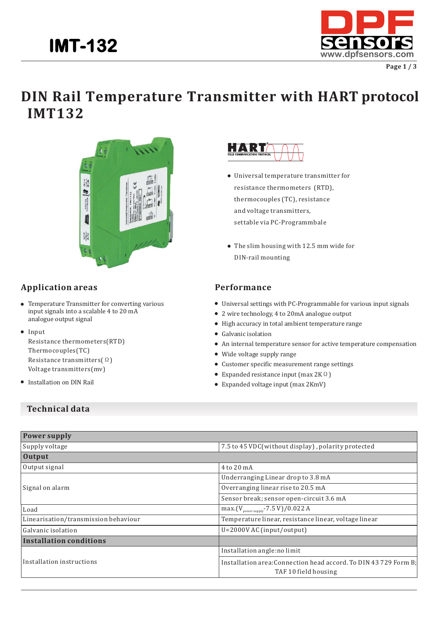

**Page 1 / 3**

## **DIN Rail Temperature Transmitter with HART protocol IMT132**



### **Application areas**

- Temperature Transmitter for converting various input signals into a scalable 4 to 20 mA analogue output signal
- Input

Resistance thermometers(RTD) Thermocouples(TC) Resistance transmitters(Ω) Voltage transmitters(mv)

**•** Installation on DIN Rail

# HART

- Universal temperature transmitter for resistance thermometers (RTD), thermocouples (TC), resistance and voltage transmitters, settable via PC-Programmbale
- The slim housing with 12.5 mm wide for DIN-rail mounting

#### **Performance**

- Universal settings with PC-Programmable for various input signals
- 2 wire technology, 4 to 20mA analogue output
- High accuracy in total ambient temperature range
- Galvanic isolation
- An internal temperature sensor for active temperature compensation
- Wide voltage supply range
- Customer specific measurement range settings
- Expanded resistance input (max 2KΩ)
- Expanded voltage input (max 2KmV)

#### **Technical data**

| <b>Power supply</b>                  |                                                                                          |  |
|--------------------------------------|------------------------------------------------------------------------------------------|--|
| Supply voltage                       | 7.5 to 45 VDC(without display), polarity protected                                       |  |
| <b>Output</b>                        |                                                                                          |  |
| Output signal                        | 4 to 20 mA                                                                               |  |
|                                      | Underranging Linear drop to 3.8 mA                                                       |  |
| Signal on alarm                      | Overranging linear rise to 20.5 mA                                                       |  |
|                                      | Sensor break; sensor open-circuit 3.6 mA                                                 |  |
| Load                                 | max. $(V_{power supply} - 7.5 V)/0.022 A$                                                |  |
| Linearisation/transmission behaviour | Temperature linear, resistance linear, voltage linear                                    |  |
| Galvanic isolation                   | U=2000V AC (input/output)                                                                |  |
| Installation conditions              |                                                                                          |  |
|                                      | Installation angle:no limit                                                              |  |
| Installation instructions            | Installation area: Connection head accord. To DIN 43 729 Form B;<br>TAF 10 field housing |  |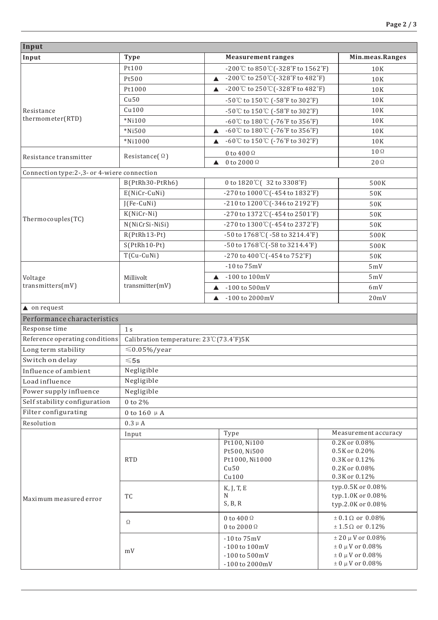| Input                                         |                                        |                                                                          |                                                  |  |
|-----------------------------------------------|----------------------------------------|--------------------------------------------------------------------------|--------------------------------------------------|--|
| Input                                         | <b>Type</b>                            | <b>Measurement ranges</b>                                                | Min.meas.Ranges                                  |  |
|                                               | Pt100                                  | -200℃ to 850℃(-328°F to 1562°F)                                          | 10K                                              |  |
|                                               | Pt500<br>▲                             | -200℃ to 250℃(-328°F to 482°F)                                           | 10K                                              |  |
|                                               | Pt1000                                 | -200℃ to 250℃(-328°F to 482°F)<br>▲                                      | 10K                                              |  |
|                                               | Cu50                                   | -50℃ to 150℃ (-58°F to 302°F)                                            | 10K                                              |  |
| Resistance<br>thermometer(RTD)                | Cu100                                  | -50℃ to 150℃ (-58°F to 302°F)                                            | 10K                                              |  |
|                                               | $*$ Ni100                              | $-60^{\circ}$ C to $180^{\circ}$ C ( $-76^{\circ}$ F to $356^{\circ}$ F) | 10K                                              |  |
|                                               | $*$ Ni500<br>$\blacktriangle$          | -60℃ to 180℃ (-76°F to 356°F)                                            | 10K                                              |  |
|                                               | *Ni1000<br>▲                           | -60℃ to 150℃ (-76°F to 302°F)                                            | 10K                                              |  |
| Resistance transmitter                        | Resistance( $\Omega$ )<br>▲            | 0 to 400 $\Omega$                                                        | $10\,\Omega$                                     |  |
|                                               |                                        | 0 to 2000 $\Omega$                                                       | $20\Omega$                                       |  |
| Connection type: 2-, 3- or 4-wiere connection |                                        |                                                                          |                                                  |  |
|                                               | B(PtRh30-PtRh6)                        | 0 to 1820°C (32 to 3308°F)                                               | 500K                                             |  |
|                                               | E(NiCr-CuNi)                           | -270 to 1000°C (-454 to 1832°F)                                          | 50K                                              |  |
|                                               | $J(Fe-CuNi)$                           | $-210$ to $1200^{\circ}$ ( $-346$ to $2192^{\circ}$ F)                   | 50K                                              |  |
| Thermocouples(TC)                             | $K(NiCr-Ni)$                           | -270 to 1372°C (-454 to 2501°F)                                          | 50K                                              |  |
|                                               | N(NiCrSi-NiSi)                         | -270 to $1300^{\circ}$ C (-454 to $2372^{\circ}$ F)                      | 50K                                              |  |
|                                               | $R(PtRh13-Pt)$                         | $-50$ to $1768^{\circ}$ C( $-58$ to $3214.4^{\circ}$ F)                  | 500K                                             |  |
|                                               | $S(PtRh10-Pt)$                         | -50 to $1768^{\circ}$ C(-58 to $3214.4^{\circ}$ F)                       | 500K                                             |  |
|                                               | $T(Cu-CuNi)$                           | -270 to 400°C (-454 to 752°F)                                            | 50K                                              |  |
|                                               |                                        | $-10$ to $75mV$                                                          | 5mV                                              |  |
| Voltage                                       | Millivolt<br>▲                         | $-100$ to $100$ mV                                                       | 5mV                                              |  |
| transmitters(mV)                              | transmitter(mV)<br>▲                   | $-100$ to $500$ mV                                                       | 6mV                                              |  |
|                                               | $\blacktriangle$                       | $-100$ to $2000$ mV                                                      | 20mV                                             |  |
| $\triangle$ on request                        |                                        |                                                                          |                                                  |  |
| Performance characteristics                   |                                        |                                                                          |                                                  |  |
| Response time                                 | $1 s$                                  |                                                                          |                                                  |  |
| Reference operating conditions                | Calibration temperature: 23℃(73.4°F)5K |                                                                          |                                                  |  |
| Long term stability                           | $\leq 0.05\%$ /year                    |                                                                          |                                                  |  |
| Switch on delay                               | $\leqslant$ 5s                         |                                                                          |                                                  |  |
| Influence of ambient                          | Negligible                             |                                                                          |                                                  |  |
| Load influence                                | Negligible                             |                                                                          |                                                  |  |
| Power supply influence                        | Negligible                             |                                                                          |                                                  |  |
| Self stability configuration                  | 0 to 2%                                |                                                                          |                                                  |  |
| Filter configurating                          | 0 to 160 $\mu$ A                       |                                                                          |                                                  |  |
| Resolution                                    | $0.3 \mu A$                            |                                                                          |                                                  |  |
|                                               | Input                                  | Type                                                                     | Measurement accuracy                             |  |
|                                               | <b>RTD</b>                             | Pt100, Ni100<br>Pt500, Ni500                                             | 0.2K or 0.08%<br>0.5K or 0.20%                   |  |
|                                               |                                        | Pt1000, Ni1000                                                           | 0.3K or 0.12%                                    |  |
|                                               |                                        | Cu50                                                                     | 0.2K or 0.08%                                    |  |
| Maximum measured error                        |                                        | Cu100                                                                    | 0.3K or 0.12%                                    |  |
|                                               | TC                                     | K, J, T, E                                                               | typ.0.5K or 0.08%                                |  |
|                                               |                                        | N                                                                        | typ.1.0K or 0.08%                                |  |
|                                               |                                        | S, B, R                                                                  | typ.2.0K or 0.08%                                |  |
|                                               |                                        | 0 to 400 $\Omega$                                                        | $\pm$ 0.1 $\Omega$ or 0.08%                      |  |
|                                               | Ω                                      | 0 to 2000 $\Omega$                                                       | $± 1.5 \Omega$ or 0.12%                          |  |
|                                               | mV                                     | $-10$ to $75mV$                                                          | $\pm$ 20 µ V or 0.08%                            |  |
|                                               |                                        | $-100$ to $100$ mV                                                       | $\pm$ 0 µ V or 0.08%                             |  |
|                                               |                                        | $-100$ to $500$ mV<br>$-100$ to $2000$ mV                                | $\pm$ 0 µ V or 0.08%<br>$\pm$ 0 $\mu$ V or 0.08% |  |
|                                               |                                        |                                                                          |                                                  |  |